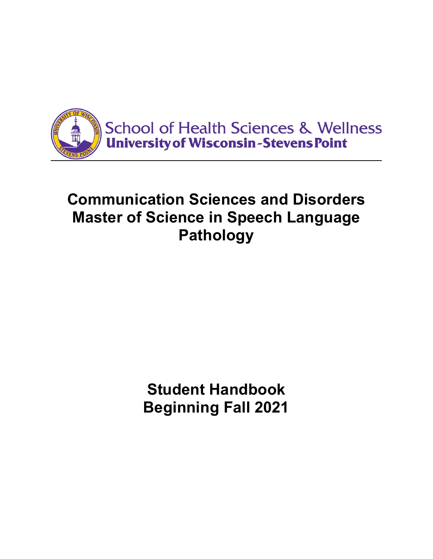

# **Communication Sciences and Disorders Master of Science in Speech Language Pathology**

**Student Handbook Beginning Fall 2021**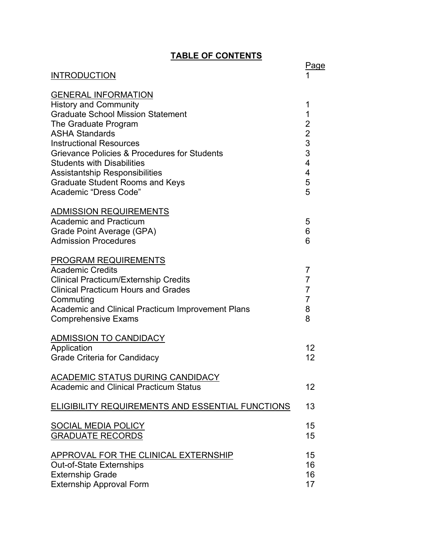# **TABLE OF CONTENTS**

| <u>INDLL VI VUNTLINIV</u>                                                                                                                                                                                                                                                                                                                                                                  |                                                                          |
|--------------------------------------------------------------------------------------------------------------------------------------------------------------------------------------------------------------------------------------------------------------------------------------------------------------------------------------------------------------------------------------------|--------------------------------------------------------------------------|
| <b>INTRODUCTION</b>                                                                                                                                                                                                                                                                                                                                                                        | Page                                                                     |
| <b>GENERAL INFORMATION</b><br><b>History and Community</b><br><b>Graduate School Mission Statement</b><br>The Graduate Program<br><b>ASHA Standards</b><br><b>Instructional Resources</b><br>Grievance Policies & Procedures for Students<br><b>Students with Disabilities</b><br><b>Assistantship Responsibilities</b><br><b>Graduate Student Rooms and Keys</b><br>Academic "Dress Code" | 1<br>1<br>$\overline{2}$<br>$\overline{2}$<br>3<br>3<br>4<br>4<br>5<br>5 |
| <b>ADMISSION REQUIREMENTS</b><br><b>Academic and Practicum</b><br>Grade Point Average (GPA)<br><b>Admission Procedures</b>                                                                                                                                                                                                                                                                 | 5<br>6<br>6                                                              |
| <b>PROGRAM REQUIREMENTS</b><br><b>Academic Credits</b><br><b>Clinical Practicum/Externship Credits</b><br><b>Clinical Practicum Hours and Grades</b><br>Commuting<br><b>Academic and Clinical Practicum Improvement Plans</b><br><b>Comprehensive Exams</b>                                                                                                                                | 7<br>$\overline{7}$<br>$\overline{7}$<br>$\overline{7}$<br>8<br>8        |
| <b>ADMISSION TO CANDIDACY</b><br>Application<br><b>Grade Criteria for Candidacy</b>                                                                                                                                                                                                                                                                                                        | 12<br>12                                                                 |
| ACADEMIC STATUS DURING CANDIDACY<br><b>Academic and Clinical Practicum Status</b>                                                                                                                                                                                                                                                                                                          | 12                                                                       |
| <b>ELIGIBILITY REQUIREMENTS AND ESSENTIAL FUNCTIONS</b>                                                                                                                                                                                                                                                                                                                                    | 13                                                                       |
| <b>SOCIAL MEDIA POLICY</b><br><b>GRADUATE RECORDS</b>                                                                                                                                                                                                                                                                                                                                      | 15<br>15                                                                 |
| APPROVAL FOR THE CLINICAL EXTERNSHIP<br><b>Out-of-State Externships</b><br><b>Externship Grade</b><br><b>Externship Approval Form</b>                                                                                                                                                                                                                                                      | 15<br>16<br>16<br>17                                                     |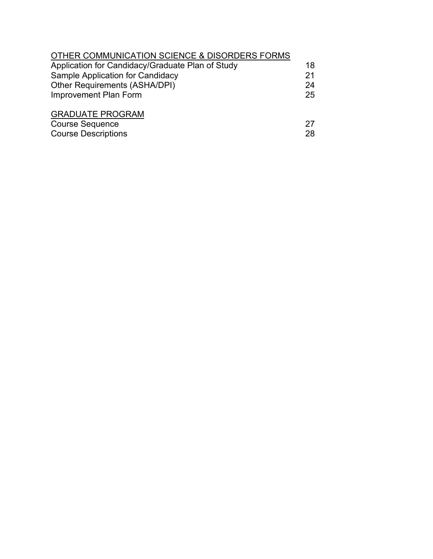| OTHER COMMUNICATION SCIENCE & DISORDERS FORMS    |    |
|--------------------------------------------------|----|
| Application for Candidacy/Graduate Plan of Study | 18 |
| Sample Application for Candidacy                 | 21 |
| Other Requirements (ASHA/DPI)                    | 24 |
| <b>Improvement Plan Form</b>                     | 25 |
| <b>GRADUATE PROGRAM</b>                          |    |
| <b>Course Sequence</b>                           | 27 |
| <b>Course Descriptions</b>                       | 28 |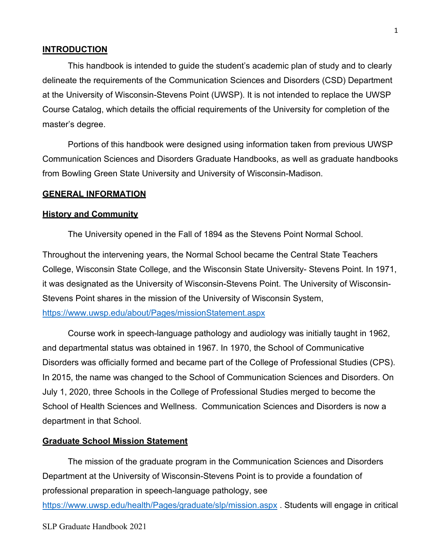#### **INTRODUCTION**

This handbook is intended to guide the student's academic plan of study and to clearly delineate the requirements of the Communication Sciences and Disorders (CSD) Department at the University of Wisconsin-Stevens Point (UWSP). It is not intended to replace the UWSP Course Catalog, which details the official requirements of the University for completion of the master's degree.

Portions of this handbook were designed using information taken from previous UWSP Communication Sciences and Disorders Graduate Handbooks, as well as graduate handbooks from Bowling Green State University and University of Wisconsin-Madison.

#### **GENERAL INFORMATION**

#### **History and Community**

The University opened in the Fall of 1894 as the Stevens Point Normal School.

Throughout the intervening years, the Normal School became the Central State Teachers College, Wisconsin State College, and the Wisconsin State University- Stevens Point. In 1971, it was designated as the University of Wisconsin-Stevens Point. The University of Wisconsin-Stevens Point shares in the mission of the University of Wisconsin System,

#### <https://www.uwsp.edu/about/Pages/missionStatement.aspx>

Course work in speech-language pathology and audiology was initially taught in 1962, and departmental status was obtained in 1967. In 1970, the School of Communicative Disorders was officially formed and became part of the College of Professional Studies (CPS). In 2015, the name was changed to the School of Communication Sciences and Disorders. On July 1, 2020, three Schools in the College of Professional Studies merged to become the School of Health Sciences and Wellness. Communication Sciences and Disorders is now a department in that School.

#### **Graduate School Mission Statement**

The mission of the graduate program in the Communication Sciences and Disorders Department at the University of Wisconsin-Stevens Point is to provide a foundation of professional preparation in speech-language pathology, see <https://www.uwsp.edu/health/Pages/graduate/slp/mission.aspx> . Students will engage in critical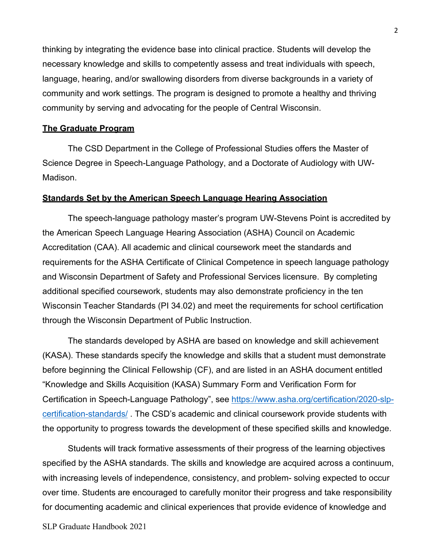thinking by integrating the evidence base into clinical practice. Students will develop the necessary knowledge and skills to competently assess and treat individuals with speech, language, hearing, and/or swallowing disorders from diverse backgrounds in a variety of community and work settings. The program is designed to promote a healthy and thriving community by serving and advocating for the people of Central Wisconsin.

#### **The Graduate Program**

The CSD Department in the College of Professional Studies offers the Master of Science Degree in Speech-Language Pathology, and a Doctorate of Audiology with UW-Madison.

#### **Standards Set by the American Speech Language Hearing Association**

The speech-language pathology master's program UW-Stevens Point is accredited by the American Speech Language Hearing Association (ASHA) Council on Academic Accreditation (CAA). All academic and clinical coursework meet the standards and requirements for the ASHA Certificate of Clinical Competence in speech language pathology and Wisconsin Department of Safety and Professional Services licensure. By completing additional specified coursework, students may also demonstrate proficiency in the ten Wisconsin Teacher Standards (PI 34.02) and meet the requirements for school certification through the Wisconsin Department of Public Instruction.

The standards developed by ASHA are based on knowledge and skill achievement (KASA). These standards specify the knowledge and skills that a student must demonstrate before beginning the Clinical Fellowship (CF), and are listed in an ASHA document entitled "Knowledge and Skills Acquisition (KASA) Summary Form and Verification Form for Certification in Speech-Language Pathology", see [https://www.asha.org/certification/2020-slp](https://www.asha.org/certification/2020-slp-certification-standards/)[certification-standards/](https://www.asha.org/certification/2020-slp-certification-standards/) . The CSD's academic and clinical coursework provide students with the opportunity to progress towards the development of these specified skills and knowledge.

Students will track formative assessments of their progress of the learning objectives specified by the ASHA standards. The skills and knowledge are acquired across a continuum, with increasing levels of independence, consistency, and problem- solving expected to occur over time. Students are encouraged to carefully monitor their progress and take responsibility for documenting academic and clinical experiences that provide evidence of knowledge and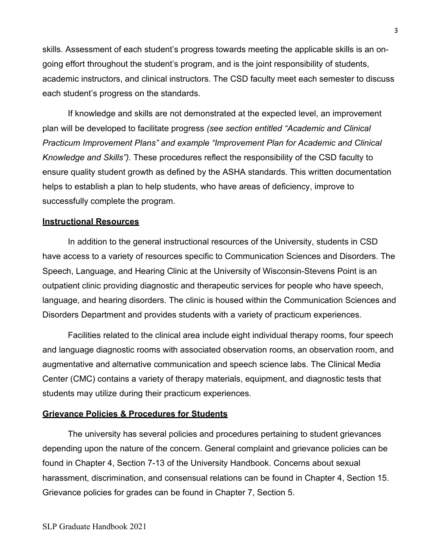skills. Assessment of each student's progress towards meeting the applicable skills is an ongoing effort throughout the student's program, and is the joint responsibility of students, academic instructors, and clinical instructors. The CSD faculty meet each semester to discuss each student's progress on the standards.

If knowledge and skills are not demonstrated at the expected level, an improvement plan will be developed to facilitate progress *(see section entitled "Academic and Clinical Practicum Improvement Plans" and example "Improvement Plan for Academic and Clinical Knowledge and Skills").* These procedures reflect the responsibility of the CSD faculty to ensure quality student growth as defined by the ASHA standards. This written documentation helps to establish a plan to help students, who have areas of deficiency, improve to successfully complete the program.

#### **Instructional Resources**

In addition to the general instructional resources of the University, students in CSD have access to a variety of resources specific to Communication Sciences and Disorders. The Speech, Language, and Hearing Clinic at the University of Wisconsin-Stevens Point is an outpatient clinic providing diagnostic and therapeutic services for people who have speech, language, and hearing disorders. The clinic is housed within the Communication Sciences and Disorders Department and provides students with a variety of practicum experiences.

Facilities related to the clinical area include eight individual therapy rooms, four speech and language diagnostic rooms with associated observation rooms, an observation room, and augmentative and alternative communication and speech science labs. The Clinical Media Center (CMC) contains a variety of therapy materials, equipment, and diagnostic tests that students may utilize during their practicum experiences.

## **Grievance Policies & Procedures for Students**

The university has several policies and procedures pertaining to student grievances depending upon the nature of the concern. General complaint and grievance policies can be found in Chapter 4, Section 7-13 of the University Handbook. Concerns about sexual harassment, discrimination, and consensual relations can be found in Chapter 4, Section 15. Grievance policies for grades can be found in Chapter 7, Section 5.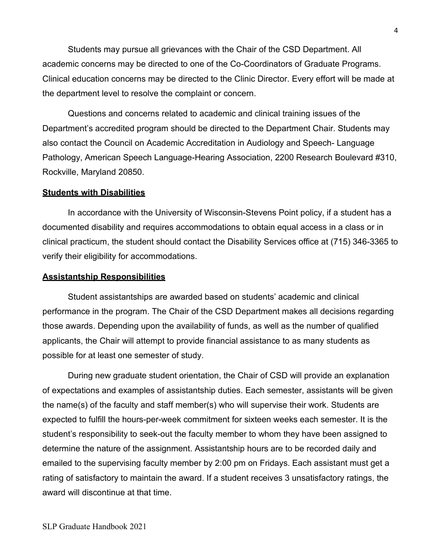Students may pursue all grievances with the Chair of the CSD Department. All academic concerns may be directed to one of the Co-Coordinators of Graduate Programs. Clinical education concerns may be directed to the Clinic Director. Every effort will be made at the department level to resolve the complaint or concern.

Questions and concerns related to academic and clinical training issues of the Department's accredited program should be directed to the Department Chair. Students may also contact the Council on Academic Accreditation in Audiology and Speech- Language Pathology, American Speech Language-Hearing Association, 2200 Research Boulevard #310, Rockville, Maryland 20850.

#### **Students with Disabilities**

In accordance with the University of Wisconsin-Stevens Point policy, if a student has a documented disability and requires accommodations to obtain equal access in a class or in clinical practicum, the student should contact the Disability Services office at (715) 346-3365 to verify their eligibility for accommodations.

#### **Assistantship Responsibilities**

Student assistantships are awarded based on students' academic and clinical performance in the program. The Chair of the CSD Department makes all decisions regarding those awards. Depending upon the availability of funds, as well as the number of qualified applicants, the Chair will attempt to provide financial assistance to as many students as possible for at least one semester of study.

During new graduate student orientation, the Chair of CSD will provide an explanation of expectations and examples of assistantship duties. Each semester, assistants will be given the name(s) of the faculty and staff member(s) who will supervise their work. Students are expected to fulfill the hours-per-week commitment for sixteen weeks each semester. It is the student's responsibility to seek-out the faculty member to whom they have been assigned to determine the nature of the assignment. Assistantship hours are to be recorded daily and emailed to the supervising faculty member by 2:00 pm on Fridays. Each assistant must get a rating of satisfactory to maintain the award. If a student receives 3 unsatisfactory ratings, the award will discontinue at that time.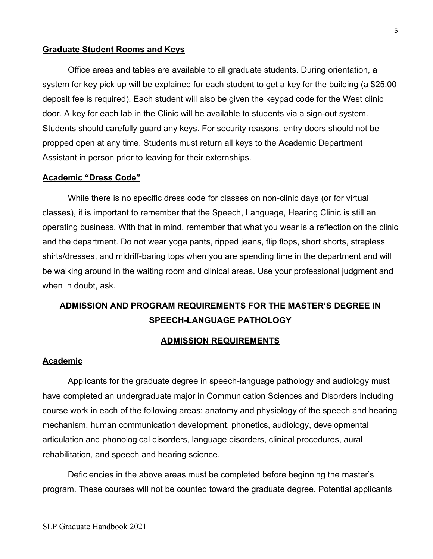#### **Graduate Student Rooms and Keys**

Office areas and tables are available to all graduate students. During orientation, a system for key pick up will be explained for each student to get a key for the building (a \$25.00 deposit fee is required). Each student will also be given the keypad code for the West clinic door. A key for each lab in the Clinic will be available to students via a sign-out system. Students should carefully guard any keys. For security reasons, entry doors should not be propped open at any time. Students must return all keys to the Academic Department Assistant in person prior to leaving for their externships.

#### **Academic "Dress Code"**

While there is no specific dress code for classes on non-clinic days (or for virtual classes), it is important to remember that the Speech, Language, Hearing Clinic is still an operating business. With that in mind, remember that what you wear is a reflection on the clinic and the department. Do not wear yoga pants, ripped jeans, flip flops, short shorts, strapless shirts/dresses, and midriff-baring tops when you are spending time in the department and will be walking around in the waiting room and clinical areas. Use your professional judgment and when in doubt, ask.

# **ADMISSION AND PROGRAM REQUIREMENTS FOR THE MASTER'S DEGREE IN SPEECH-LANGUAGE PATHOLOGY**

#### **ADMISSION REQUIREMENTS**

#### **Academic**

Applicants for the graduate degree in speech-language pathology and audiology must have completed an undergraduate major in Communication Sciences and Disorders including course work in each of the following areas: anatomy and physiology of the speech and hearing mechanism, human communication development, phonetics, audiology, developmental articulation and phonological disorders, language disorders, clinical procedures, aural rehabilitation, and speech and hearing science.

Deficiencies in the above areas must be completed before beginning the master's program. These courses will not be counted toward the graduate degree. Potential applicants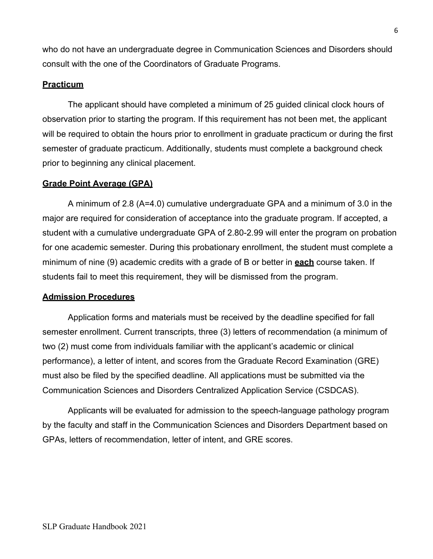who do not have an undergraduate degree in Communication Sciences and Disorders should consult with the one of the Coordinators of Graduate Programs.

## **Practicum**

The applicant should have completed a minimum of 25 guided clinical clock hours of observation prior to starting the program. If this requirement has not been met, the applicant will be required to obtain the hours prior to enrollment in graduate practicum or during the first semester of graduate practicum. Additionally, students must complete a background check prior to beginning any clinical placement.

## **Grade Point Average (GPA)**

A minimum of 2.8 (A=4.0) cumulative undergraduate GPA and a minimum of 3.0 in the major are required for consideration of acceptance into the graduate program. If accepted, a student with a cumulative undergraduate GPA of 2.80-2.99 will enter the program on probation for one academic semester. During this probationary enrollment, the student must complete a minimum of nine (9) academic credits with a grade of B or better in **each** course taken. If students fail to meet this requirement, they will be dismissed from the program.

## **Admission Procedures**

Application forms and materials must be received by the deadline specified for fall semester enrollment. Current transcripts, three (3) letters of recommendation (a minimum of two (2) must come from individuals familiar with the applicant's academic or clinical performance), a letter of intent, and scores from the Graduate Record Examination (GRE) must also be filed by the specified deadline. All applications must be submitted via the Communication Sciences and Disorders Centralized Application Service (CSDCAS).

Applicants will be evaluated for admission to the speech-language pathology program by the faculty and staff in the Communication Sciences and Disorders Department based on GPAs, letters of recommendation, letter of intent, and GRE scores.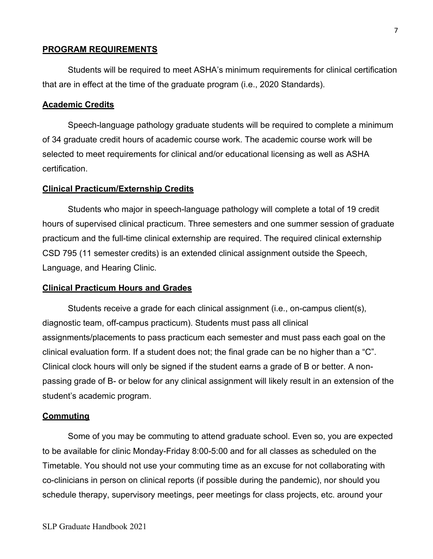#### **PROGRAM REQUIREMENTS**

Students will be required to meet ASHA's minimum requirements for clinical certification that are in effect at the time of the graduate program (i.e., 2020 Standards).

#### **Academic Credits**

Speech-language pathology graduate students will be required to complete a minimum of 34 graduate credit hours of academic course work. The academic course work will be selected to meet requirements for clinical and/or educational licensing as well as ASHA certification.

#### **Clinical Practicum/Externship Credits**

Students who major in speech-language pathology will complete a total of 19 credit hours of supervised clinical practicum. Three semesters and one summer session of graduate practicum and the full-time clinical externship are required. The required clinical externship CSD 795 (11 semester credits) is an extended clinical assignment outside the Speech, Language, and Hearing Clinic.

#### **Clinical Practicum Hours and Grades**

Students receive a grade for each clinical assignment (i.e., on-campus client(s), diagnostic team, off-campus practicum). Students must pass all clinical assignments/placements to pass practicum each semester and must pass each goal on the clinical evaluation form. If a student does not; the final grade can be no higher than a "C". Clinical clock hours will only be signed if the student earns a grade of B or better. A nonpassing grade of B- or below for any clinical assignment will likely result in an extension of the student's academic program.

#### **Commuting**

Some of you may be commuting to attend graduate school. Even so, you are expected to be available for clinic Monday-Friday 8:00-5:00 and for all classes as scheduled on the Timetable. You should not use your commuting time as an excuse for not collaborating with co-clinicians in person on clinical reports (if possible during the pandemic), nor should you schedule therapy, supervisory meetings, peer meetings for class projects, etc. around your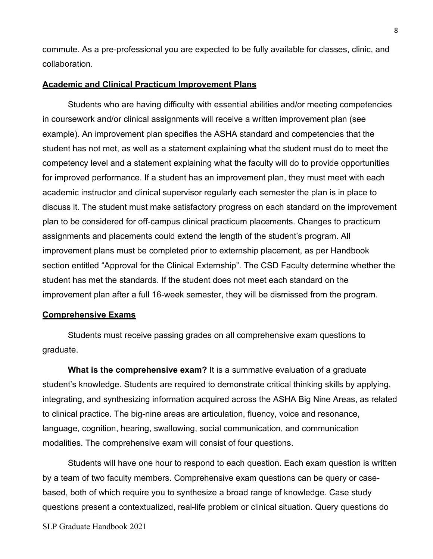commute. As a pre-professional you are expected to be fully available for classes, clinic, and collaboration.

#### **Academic and Clinical Practicum Improvement Plans**

Students who are having difficulty with essential abilities and/or meeting competencies in coursework and/or clinical assignments will receive a written improvement plan (see example). An improvement plan specifies the ASHA standard and competencies that the student has not met, as well as a statement explaining what the student must do to meet the competency level and a statement explaining what the faculty will do to provide opportunities for improved performance. If a student has an improvement plan, they must meet with each academic instructor and clinical supervisor regularly each semester the plan is in place to discuss it. The student must make satisfactory progress on each standard on the improvement plan to be considered for off-campus clinical practicum placements. Changes to practicum assignments and placements could extend the length of the student's program. All improvement plans must be completed prior to externship placement, as per Handbook section entitled "Approval for the Clinical Externship". The CSD Faculty determine whether the student has met the standards. If the student does not meet each standard on the improvement plan after a full 16-week semester, they will be dismissed from the program.

#### **Comprehensive Exams**

Students must receive passing grades on all comprehensive exam questions to graduate.

**What is the comprehensive exam?** It is a summative evaluation of a graduate student's knowledge. Students are required to demonstrate critical thinking skills by applying, integrating, and synthesizing information acquired across the ASHA Big Nine Areas, as related to clinical practice. The big-nine areas are articulation, fluency, voice and resonance, language, cognition, hearing, swallowing, social communication, and communication modalities. The comprehensive exam will consist of four questions.

Students will have one hour to respond to each question. Each exam question is written by a team of two faculty members. Comprehensive exam questions can be query or casebased, both of which require you to synthesize a broad range of knowledge. Case study questions present a contextualized, real-life problem or clinical situation. Query questions do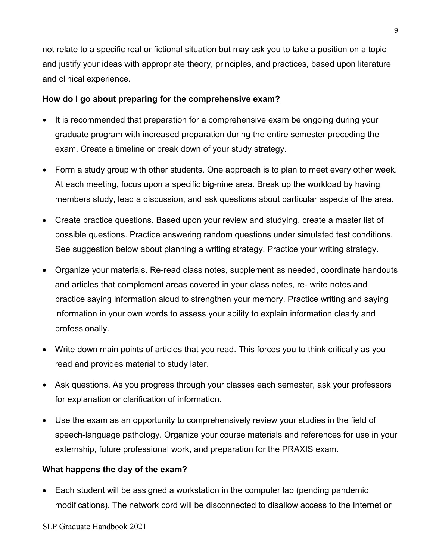not relate to a specific real or fictional situation but may ask you to take a position on a topic and justify your ideas with appropriate theory, principles, and practices, based upon literature and clinical experience.

## **How do I go about preparing for the comprehensive exam?**

- It is recommended that preparation for a comprehensive exam be ongoing during your graduate program with increased preparation during the entire semester preceding the exam. Create a timeline or break down of your study strategy.
- Form a study group with other students. One approach is to plan to meet every other week. At each meeting, focus upon a specific big-nine area. Break up the workload by having members study, lead a discussion, and ask questions about particular aspects of the area.
- Create practice questions. Based upon your review and studying, create a master list of possible questions. Practice answering random questions under simulated test conditions. See suggestion below about planning a writing strategy. Practice your writing strategy.
- Organize your materials. Re-read class notes, supplement as needed, coordinate handouts and articles that complement areas covered in your class notes, re- write notes and practice saying information aloud to strengthen your memory. Practice writing and saying information in your own words to assess your ability to explain information clearly and professionally.
- Write down main points of articles that you read. This forces you to think critically as you read and provides material to study later.
- Ask questions. As you progress through your classes each semester, ask your professors for explanation or clarification of information.
- Use the exam as an opportunity to comprehensively review your studies in the field of speech-language pathology. Organize your course materials and references for use in your externship, future professional work, and preparation for the PRAXIS exam.

## **What happens the day of the exam?**

• Each student will be assigned a workstation in the computer lab (pending pandemic modifications). The network cord will be disconnected to disallow access to the Internet or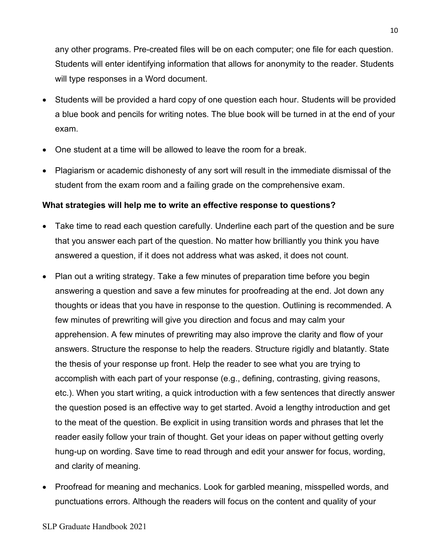any other programs. Pre-created files will be on each computer; one file for each question. Students will enter identifying information that allows for anonymity to the reader. Students will type responses in a Word document.

- Students will be provided a hard copy of one question each hour. Students will be provided a blue book and pencils for writing notes. The blue book will be turned in at the end of your exam.
- One student at a time will be allowed to leave the room for a break.
- Plagiarism or academic dishonesty of any sort will result in the immediate dismissal of the student from the exam room and a failing grade on the comprehensive exam.

## **What strategies will help me to write an effective response to questions?**

- Take time to read each question carefully. Underline each part of the question and be sure that you answer each part of the question. No matter how brilliantly you think you have answered a question, if it does not address what was asked, it does not count.
- Plan out a writing strategy. Take a few minutes of preparation time before you begin answering a question and save a few minutes for proofreading at the end. Jot down any thoughts or ideas that you have in response to the question. Outlining is recommended. A few minutes of prewriting will give you direction and focus and may calm your apprehension. A few minutes of prewriting may also improve the clarity and flow of your answers. Structure the response to help the readers. Structure rigidly and blatantly. State the thesis of your response up front. Help the reader to see what you are trying to accomplish with each part of your response (e.g., defining, contrasting, giving reasons, etc.). When you start writing, a quick introduction with a few sentences that directly answer the question posed is an effective way to get started. Avoid a lengthy introduction and get to the meat of the question. Be explicit in using transition words and phrases that let the reader easily follow your train of thought. Get your ideas on paper without getting overly hung-up on wording. Save time to read through and edit your answer for focus, wording, and clarity of meaning.
- Proofread for meaning and mechanics. Look for garbled meaning, misspelled words, and punctuations errors. Although the readers will focus on the content and quality of your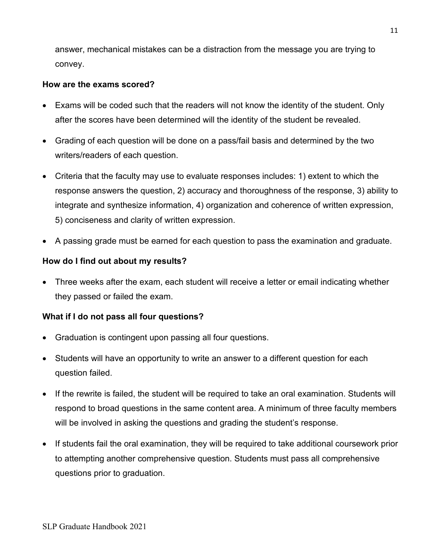answer, mechanical mistakes can be a distraction from the message you are trying to convey.

## **How are the exams scored?**

- Exams will be coded such that the readers will not know the identity of the student. Only after the scores have been determined will the identity of the student be revealed.
- Grading of each question will be done on a pass/fail basis and determined by the two writers/readers of each question.
- Criteria that the faculty may use to evaluate responses includes: 1) extent to which the response answers the question, 2) accuracy and thoroughness of the response, 3) ability to integrate and synthesize information, 4) organization and coherence of written expression, 5) conciseness and clarity of written expression.
- A passing grade must be earned for each question to pass the examination and graduate.

## **How do I find out about my results?**

• Three weeks after the exam, each student will receive a letter or email indicating whether they passed or failed the exam.

## **What if I do not pass all four questions?**

- Graduation is contingent upon passing all four questions.
- Students will have an opportunity to write an answer to a different question for each question failed.
- If the rewrite is failed, the student will be required to take an oral examination. Students will respond to broad questions in the same content area. A minimum of three faculty members will be involved in asking the questions and grading the student's response.
- If students fail the oral examination, they will be required to take additional coursework prior to attempting another comprehensive question. Students must pass all comprehensive questions prior to graduation.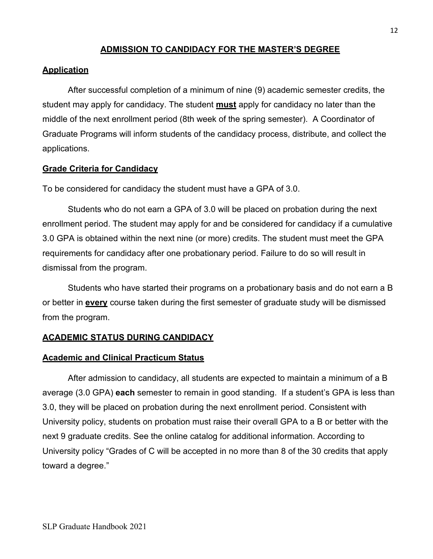## **ADMISSION TO CANDIDACY FOR THE MASTER'S DEGREE**

#### **Application**

After successful completion of a minimum of nine (9) academic semester credits, the student may apply for candidacy. The student **must** apply for candidacy no later than the middle of the next enrollment period (8th week of the spring semester). A Coordinator of Graduate Programs will inform students of the candidacy process, distribute, and collect the applications.

#### **Grade Criteria for Candidacy**

To be considered for candidacy the student must have a GPA of 3.0.

Students who do not earn a GPA of 3.0 will be placed on probation during the next enrollment period. The student may apply for and be considered for candidacy if a cumulative 3.0 GPA is obtained within the next nine (or more) credits. The student must meet the GPA requirements for candidacy after one probationary period. Failure to do so will result in dismissal from the program.

Students who have started their programs on a probationary basis and do not earn a B or better in **every** course taken during the first semester of graduate study will be dismissed from the program.

## **ACADEMIC STATUS DURING CANDIDACY**

#### **Academic and Clinical Practicum Status**

After admission to candidacy, all students are expected to maintain a minimum of a B average (3.0 GPA) **each** semester to remain in good standing. If a student's GPA is less than 3.0, they will be placed on probation during the next enrollment period. Consistent with University policy, students on probation must raise their overall GPA to a B or better with the next 9 graduate credits. See the online catalog for additional information. According to University policy "Grades of C will be accepted in no more than 8 of the 30 credits that apply toward a degree."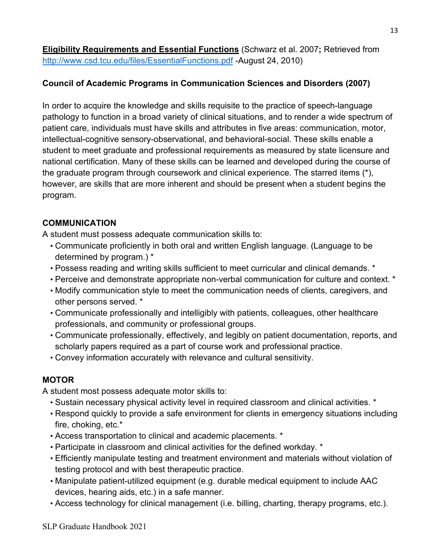**Eligibility Requirements and Essential Functions** (Schwarz et al. 2007**;** Retrieved from <http://www.csd.tcu.edu/files/EssentialFunctions.pdf> -August 24, 2010)

# **Council of Academic Programs in Communication Sciences and Disorders (2007)**

In order to acquire the knowledge and skills requisite to the practice of speech-language pathology to function in a broad variety of clinical situations, and to render a wide spectrum of patient care, individuals must have skills and attributes in five areas: communication, motor, intellectual-cognitive sensory-observational, and behavioral-social. These skills enable a student to meet graduate and professional requirements as measured by state licensure and national certification. Many of these skills can be learned and developed during the course of the graduate program through coursework and clinical experience. The starred items (\*), however, are skills that are more inherent and should be present when a student begins the program.

## **COMMUNICATION**

A student must possess adequate communication skills to:

- Communicate proficiently in both oral and written English language. (Language to be determined by program.) \*
- Possess reading and writing skills sufficient to meet curricular and clinical demands. \*
- Perceive and demonstrate appropriate non-verbal communication for culture and context. \*
- Modify communication style to meet the communication needs of clients, caregivers, and other persons served. \*
- Communicate professionally and intelligibly with patients, colleagues, other healthcare professionals, and community or professional groups.
- Communicate professionally, effectively, and legibly on patient documentation, reports, and scholarly papers required as a part of course work and professional practice.
- Convey information accurately with relevance and cultural sensitivity.

# **MOTOR**

A student most possess adequate motor skills to:

- Sustain necessary physical activity level in required classroom and clinical activities. \*
- Respond quickly to provide a safe environment for clients in emergency situations including fire, choking, etc.\*
- Access transportation to clinical and academic placements. \*
- Participate in classroom and clinical activities for the defined workday. \*
- Efficiently manipulate testing and treatment environment and materials without violation of testing protocol and with best therapeutic practice.
- Manipulate patient-utilized equipment (e.g. durable medical equipment to include AAC devices, hearing aids, etc.) in a safe manner.
- Access technology for clinical management (i.e. billing, charting, therapy programs, etc.).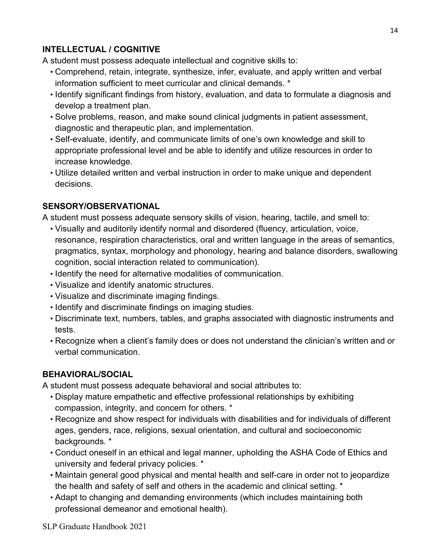# **INTELLECTUAL / COGNITIVE**

A student must possess adequate intellectual and cognitive skills to:

- Comprehend, retain, integrate, synthesize, infer, evaluate, and apply written and verbal information sufficient to meet curricular and clinical demands. \*
- Identify significant findings from history, evaluation, and data to formulate a diagnosis and develop a treatment plan.
- Solve problems, reason, and make sound clinical judgments in patient assessment, diagnostic and therapeutic plan, and implementation.
- Self-evaluate, identify, and communicate limits of one's own knowledge and skill to appropriate professional level and be able to identify and utilize resources in order to increase knowledge.
- Utilize detailed written and verbal instruction in order to make unique and dependent decisions.

## **SENSORY/OBSERVATIONAL**

A student must possess adequate sensory skills of vision, hearing, tactile, and smell to:

- Visually and auditorily identify normal and disordered (fluency, articulation, voice, resonance, respiration characteristics, oral and written language in the areas of semantics, pragmatics, syntax, morphology and phonology, hearing and balance disorders, swallowing cognition, social interaction related to communication).
- Identify the need for alternative modalities of communication.
- Visualize and identify anatomic structures.
- Visualize and discriminate imaging findings.
- Identify and discriminate findings on imaging studies.
- Discriminate text, numbers, tables, and graphs associated with diagnostic instruments and tests.
- Recognize when a client's family does or does not understand the clinician's written and or verbal communication.

## **BEHAVIORAL/SOCIAL**

A student must possess adequate behavioral and social attributes to:

- Display mature empathetic and effective professional relationships by exhibiting compassion, integrity, and concern for others. \*
- Recognize and show respect for individuals with disabilities and for individuals of different ages, genders, race, religions, sexual orientation, and cultural and socioeconomic backgrounds. \*
- Conduct oneself in an ethical and legal manner, upholding the ASHA Code of Ethics and university and federal privacy policies. \*
- Maintain general good physical and mental health and self-care in order not to jeopardize the health and safety of self and others in the academic and clinical setting. \*
- Adapt to changing and demanding environments (which includes maintaining both professional demeanor and emotional health).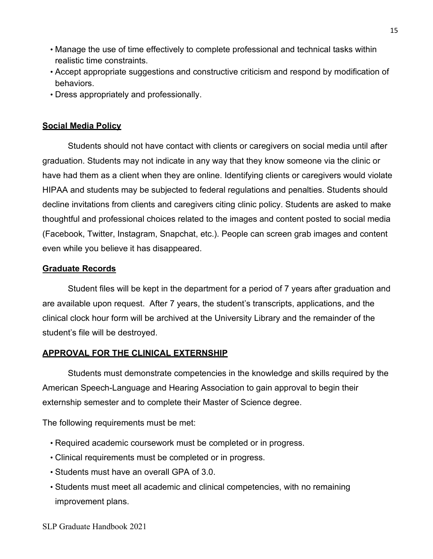- Manage the use of time effectively to complete professional and technical tasks within realistic time constraints.
- Accept appropriate suggestions and constructive criticism and respond by modification of behaviors.
- Dress appropriately and professionally.

## **Social Media Policy**

Students should not have contact with clients or caregivers on social media until after graduation. Students may not indicate in any way that they know someone via the clinic or have had them as a client when they are online. Identifying clients or caregivers would violate HIPAA and students may be subjected to federal regulations and penalties. Students should decline invitations from clients and caregivers citing clinic policy. Students are asked to make thoughtful and professional choices related to the images and content posted to social media (Facebook, Twitter, Instagram, Snapchat, etc.). People can screen grab images and content even while you believe it has disappeared.

## **Graduate Records**

Student files will be kept in the department for a period of 7 years after graduation and are available upon request. After 7 years, the student's transcripts, applications, and the clinical clock hour form will be archived at the University Library and the remainder of the student's file will be destroyed.

## **APPROVAL FOR THE CLINICAL EXTERNSHIP**

Students must demonstrate competencies in the knowledge and skills required by the American Speech-Language and Hearing Association to gain approval to begin their externship semester and to complete their Master of Science degree.

The following requirements must be met:

- Required academic coursework must be completed or in progress.
- Clinical requirements must be completed or in progress.
- Students must have an overall GPA of 3.0.
- Students must meet all academic and clinical competencies, with no remaining improvement plans.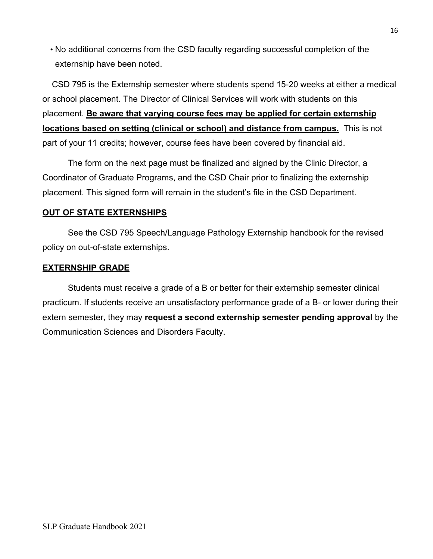• No additional concerns from the CSD faculty regarding successful completion of the externship have been noted.

 CSD 795 is the Externship semester where students spend 15-20 weeks at either a medical or school placement. The Director of Clinical Services will work with students on this placement. **Be aware that varying course fees may be applied for certain externship locations based on setting (clinical or school) and distance from campus.** This is not part of your 11 credits; however, course fees have been covered by financial aid.

The form on the next page must be finalized and signed by the Clinic Director, a Coordinator of Graduate Programs, and the CSD Chair prior to finalizing the externship placement. This signed form will remain in the student's file in the CSD Department.

## **OUT OF STATE EXTERNSHIPS**

See the CSD 795 Speech/Language Pathology Externship handbook for the revised policy on out-of-state externships.

## **EXTERNSHIP GRADE**

Students must receive a grade of a B or better for their externship semester clinical practicum. If students receive an unsatisfactory performance grade of a B- or lower during their extern semester, they may **request a second externship semester pending approval** by the Communication Sciences and Disorders Faculty.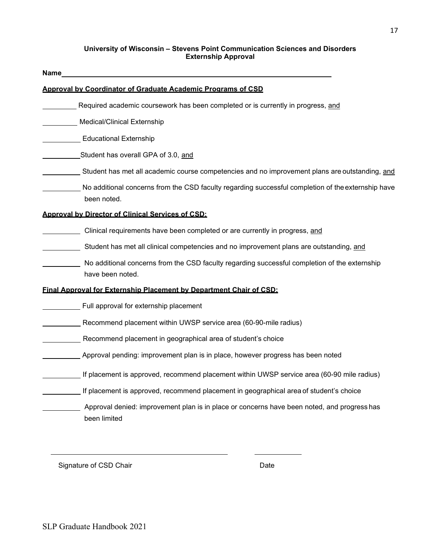#### **University of Wisconsin – Stevens Point Communication Sciences and Disorders Externship Approval**

| Name                                                     |                                                                                                    |
|----------------------------------------------------------|----------------------------------------------------------------------------------------------------|
|                                                          | Approval by Coordinator of Graduate Academic Programs of CSD                                       |
|                                                          | Required academic coursework has been completed or is currently in progress, and                   |
| Medical/Clinical Externship                              |                                                                                                    |
| <b>Educational Externship</b>                            |                                                                                                    |
|                                                          | Student has overall GPA of 3.0, and                                                                |
|                                                          | Student has met all academic course competencies and no improvement plans are outstanding, and     |
| been noted.                                              | No additional concerns from the CSD faculty regarding successful completion of the externship have |
| <b>Approval by Director of Clinical Services of CSD:</b> |                                                                                                    |
|                                                          | Clinical requirements have been completed or are currently in progress, and                        |
|                                                          | Student has met all clinical competencies and no improvement plans are outstanding, and            |
| have been noted.                                         | No additional concerns from the CSD faculty regarding successful completion of the externship      |
|                                                          | Final Approval for Externship Placement by Department Chair of CSD:                                |
|                                                          | Full approval for externship placement                                                             |
|                                                          | Recommend placement within UWSP service area (60-90-mile radius)                                   |
|                                                          | Recommend placement in geographical area of student's choice                                       |
|                                                          | Approval pending: improvement plan is in place, however progress has been noted                    |
|                                                          | If placement is approved, recommend placement within UWSP service area (60-90 mile radius)         |
|                                                          | If placement is approved, recommend placement in geographical area of student's choice             |
| been limited                                             | Approval denied: improvement plan is in place or concerns have been noted, and progress has        |
|                                                          |                                                                                                    |

Signature of CSD Chair **Date** Date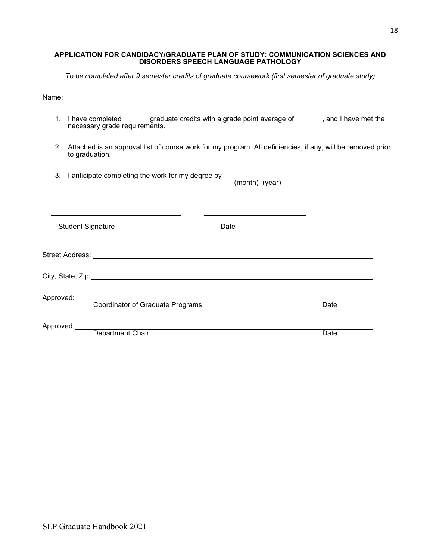#### **APPLICATION FOR CANDIDACY/GRADUATE PLAN OF STUDY: COMMUNICATION SCIENCES AND DISORDERS SPEECH LANGUAGE PATHOLOGY**

*To be completed after 9 semester credits of graduate coursework (first semester of graduate study)*

| 1. I have completed_earchlog graduate credits with a grade point average of ______, and I have met the<br>necessary grade requirements. |      |  |  |  |  |  |
|-----------------------------------------------------------------------------------------------------------------------------------------|------|--|--|--|--|--|
| 2. Attached is an approval list of course work for my program. All deficiencies, if any, will be removed prior<br>to graduation.        |      |  |  |  |  |  |
| 3. I anticipate completing the work for my degree by___________________.<br>(month) (year)                                              |      |  |  |  |  |  |
| <b>Student Signature</b><br>Date                                                                                                        |      |  |  |  |  |  |
|                                                                                                                                         |      |  |  |  |  |  |
|                                                                                                                                         |      |  |  |  |  |  |
| Approved:<br>Coordinator of Graduate Programs                                                                                           | Date |  |  |  |  |  |
| Approved:<br>Department Chair                                                                                                           | Date |  |  |  |  |  |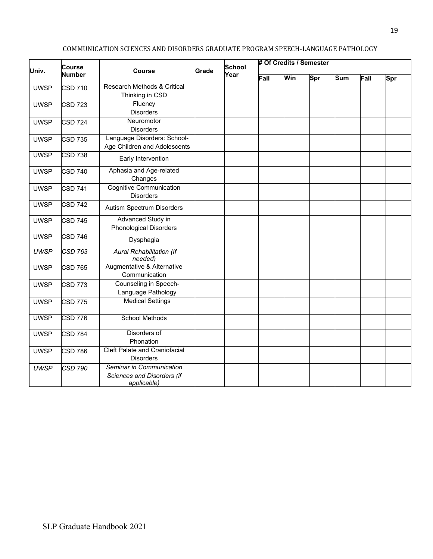| Univ.       | Course         | <b>Course</b>                                                         | School<br>Grade<br>Year |  | # Of Credits / Semester |     |     |            |      |     |
|-------------|----------------|-----------------------------------------------------------------------|-------------------------|--|-------------------------|-----|-----|------------|------|-----|
|             | <b>Number</b>  |                                                                       |                         |  | Fall                    | Win | Spr | <b>Sum</b> | Fall | Spr |
| <b>UWSP</b> | <b>CSD 710</b> | Research Methods & Critical<br>Thinking in CSD                        |                         |  |                         |     |     |            |      |     |
| <b>UWSP</b> | <b>CSD 723</b> | Fluency<br><b>Disorders</b>                                           |                         |  |                         |     |     |            |      |     |
| <b>UWSP</b> | <b>CSD 724</b> | Neuromotor<br><b>Disorders</b>                                        |                         |  |                         |     |     |            |      |     |
| <b>UWSP</b> | <b>CSD 735</b> | Language Disorders: School-<br>Age Children and Adolescents           |                         |  |                         |     |     |            |      |     |
| <b>UWSP</b> | <b>CSD 738</b> | Early Intervention                                                    |                         |  |                         |     |     |            |      |     |
| <b>UWSP</b> | <b>CSD 740</b> | Aphasia and Age-related<br>Changes                                    |                         |  |                         |     |     |            |      |     |
| <b>UWSP</b> | CSD 741        | <b>Cognitive Communication</b><br><b>Disorders</b>                    |                         |  |                         |     |     |            |      |     |
| <b>UWSP</b> | <b>CSD 742</b> | Autism Spectrum Disorders                                             |                         |  |                         |     |     |            |      |     |
| <b>UWSP</b> | <b>CSD 745</b> | Advanced Study in<br><b>Phonological Disorders</b>                    |                         |  |                         |     |     |            |      |     |
| <b>UWSP</b> | <b>CSD 746</b> | Dysphagia                                                             |                         |  |                         |     |     |            |      |     |
| <b>UWSP</b> | $CSD$ 763      | <b>Aural Rehabilitation (If</b><br>needed)                            |                         |  |                         |     |     |            |      |     |
| <b>UWSP</b> | <b>CSD 765</b> | Augmentative & Alternative<br>Communication                           |                         |  |                         |     |     |            |      |     |
| <b>UWSP</b> | <b>CSD 773</b> | Counseling in Speech-<br>Language Pathology                           |                         |  |                         |     |     |            |      |     |
| <b>UWSP</b> | <b>CSD 775</b> | <b>Medical Settings</b>                                               |                         |  |                         |     |     |            |      |     |
| <b>UWSP</b> | <b>CSD 776</b> | <b>School Methods</b>                                                 |                         |  |                         |     |     |            |      |     |
| <b>UWSP</b> | <b>CSD 784</b> | Disorders of<br>Phonation                                             |                         |  |                         |     |     |            |      |     |
| <b>UWSP</b> | <b>CSD 786</b> | Cleft Palate and Craniofacial<br><b>Disorders</b>                     |                         |  |                         |     |     |            |      |     |
| <b>UWSP</b> | <b>CSD 790</b> | Seminar in Communication<br>Sciences and Disorders (if<br>applicable) |                         |  |                         |     |     |            |      |     |

#### COMMUNICATION SCIENCES AND DISORDERS GRADUATE PROGRAM SPEECH-LANGUAGE PATHOLOGY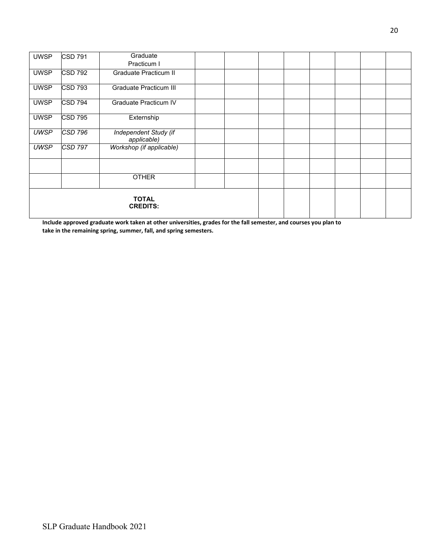| <b>UWSP</b>                     | <b>CSD 791</b> | Graduate                             |  |  |  |  |
|---------------------------------|----------------|--------------------------------------|--|--|--|--|
|                                 |                | Practicum I                          |  |  |  |  |
| <b>UWSP</b>                     | <b>CSD 792</b> | Graduate Practicum II                |  |  |  |  |
| <b>UWSP</b>                     | <b>CSD 793</b> | <b>Graduate Practicum III</b>        |  |  |  |  |
| <b>UWSP</b>                     | <b>CSD 794</b> | Graduate Practicum IV                |  |  |  |  |
| <b>UWSP</b>                     | <b>CSD 795</b> | Externship                           |  |  |  |  |
| <b>UWSP</b>                     | <b>CSD 796</b> | Independent Study (if<br>applicable) |  |  |  |  |
| <b>UWSP</b>                     | $CSD$ 797      | Workshop (if applicable)             |  |  |  |  |
|                                 |                |                                      |  |  |  |  |
|                                 |                | <b>OTHER</b>                         |  |  |  |  |
| <b>TOTAL</b><br><b>CREDITS:</b> |                |                                      |  |  |  |  |

**Include approved graduate work taken at other universities, grades for the fall semester, and courses you plan to take in the remaining spring, summer, fall, and spring semesters.**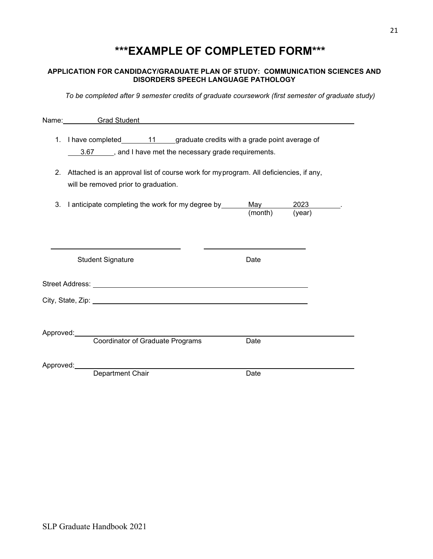# **\*\*\*EXAMPLE OF COMPLETED FORM\*\*\***

#### **APPLICATION FOR CANDIDACY/GRADUATE PLAN OF STUDY: COMMUNICATION SCIENCES AND DISORDERS SPEECH LANGUAGE PATHOLOGY**

*To be completed after 9 semester credits of graduate coursework (first semester of graduate study)*

|                | Name: Grad Student Content Content Content Content Content Content Content Content Content Content Content Content Content Content Content Content Content Content Content Content Content Content Content Content Content Con |      |  |
|----------------|--------------------------------------------------------------------------------------------------------------------------------------------------------------------------------------------------------------------------------|------|--|
|                | 1. I have completed________11_____graduate credits with a grade point average of<br>3.67 _____, and I have met the necessary grade requirements.                                                                               |      |  |
| 2 <sub>1</sub> | Attached is an approval list of course work for myprogram. All deficiencies, if any,<br>will be removed prior to graduation.                                                                                                   |      |  |
|                | 3. I anticipate completing the work for my degree by ___________________________<br>(month) (year)                                                                                                                             |      |  |
|                | <b>Student Signature</b>                                                                                                                                                                                                       | Date |  |
|                | Street Address: No. 2014 19:30 19:30 19:30 19:30 19:30 19:30 19:30 19:30 19:30 19:30 19:30 19:30 19:30 19:30 1                                                                                                                 |      |  |
|                |                                                                                                                                                                                                                                |      |  |
|                | Approved: Coordinator of Graduate Programs                                                                                                                                                                                     | Date |  |
|                | Approved:<br>Department Chair                                                                                                                                                                                                  |      |  |
|                |                                                                                                                                                                                                                                | Date |  |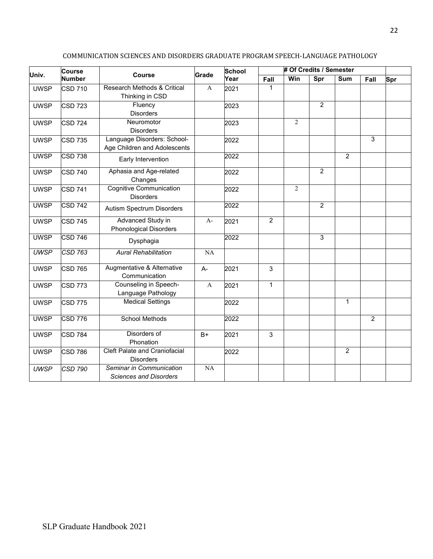| Univ.       | <b>Course</b>  | <b>Course</b>                                               | School<br>Grade |      | # Of Credits / Semester |                |                |                |                |     |
|-------------|----------------|-------------------------------------------------------------|-----------------|------|-------------------------|----------------|----------------|----------------|----------------|-----|
|             | <b>Number</b>  |                                                             |                 | Year | Fall                    | Win            | Spr            | Sum            | Fall           | Spr |
| <b>UWSP</b> | <b>CSD 710</b> | Research Methods & Critical<br>Thinking in CSD              | A               | 2021 | 1                       |                |                |                |                |     |
| <b>UWSP</b> | <b>CSD 723</b> | Fluency<br><b>Disorders</b>                                 |                 | 2023 |                         |                | $\overline{2}$ |                |                |     |
| <b>UWSP</b> | <b>CSD 724</b> | Neuromotor<br><b>Disorders</b>                              |                 | 2023 |                         | $\overline{2}$ |                |                |                |     |
| <b>UWSP</b> | <b>CSD 735</b> | Language Disorders: School-<br>Age Children and Adolescents |                 | 2022 |                         |                |                |                | 3              |     |
| <b>UWSP</b> | <b>CSD 738</b> | Early Intervention                                          |                 | 2022 |                         |                |                | $\overline{2}$ |                |     |
| <b>UWSP</b> | <b>CSD 740</b> | Aphasia and Age-related<br>Changes                          |                 | 2022 |                         |                | $\overline{2}$ |                |                |     |
| <b>UWSP</b> | <b>CSD 741</b> | <b>Cognitive Communication</b><br><b>Disorders</b>          |                 | 2022 |                         | $\overline{2}$ |                |                |                |     |
| <b>UWSP</b> | <b>CSD 742</b> | Autism Spectrum Disorders                                   |                 | 2022 |                         |                | 2              |                |                |     |
| <b>UWSP</b> | <b>CSD 745</b> | Advanced Study in<br><b>Phonological Disorders</b>          | $A-$            | 2021 | $\overline{2}$          |                |                |                |                |     |
| <b>UWSP</b> | <b>CSD 746</b> | Dysphagia                                                   |                 | 2022 |                         |                | 3              |                |                |     |
| <b>UWSP</b> | <b>CSD 763</b> | <b>Aural Rehabilitation</b>                                 | NA              |      |                         |                |                |                |                |     |
| <b>UWSP</b> | <b>CSD 765</b> | Augmentative & Alternative<br>Communication                 | A-              | 2021 | $\mathfrak{S}$          |                |                |                |                |     |
| <b>UWSP</b> | <b>CSD 773</b> | Counseling in Speech-<br>Language Pathology                 | $\mathbf{A}$    | 2021 | $\mathbf{1}$            |                |                |                |                |     |
| <b>UWSP</b> | <b>CSD 775</b> | <b>Medical Settings</b>                                     |                 | 2022 |                         |                |                | $\mathbf{1}$   |                |     |
| <b>UWSP</b> | <b>CSD 776</b> | <b>School Methods</b>                                       |                 | 2022 |                         |                |                |                | $\overline{2}$ |     |
| <b>UWSP</b> | <b>CSD 784</b> | Disorders of<br>Phonation                                   | B+              | 2021 | $\mathfrak{S}$          |                |                |                |                |     |
| <b>UWSP</b> | <b>CSD 786</b> | <b>Cleft Palate and Craniofacial</b><br><b>Disorders</b>    |                 | 2022 |                         |                |                | $\overline{c}$ |                |     |
| <b>UWSP</b> | <b>CSD 790</b> | Seminar in Communication<br><b>Sciences and Disorders</b>   | NA              |      |                         |                |                |                |                |     |

#### COMMUNICATION SCIENCES AND DISORDERS GRADUATE PROGRAM SPEECH-LANGUAGE PATHOLOGY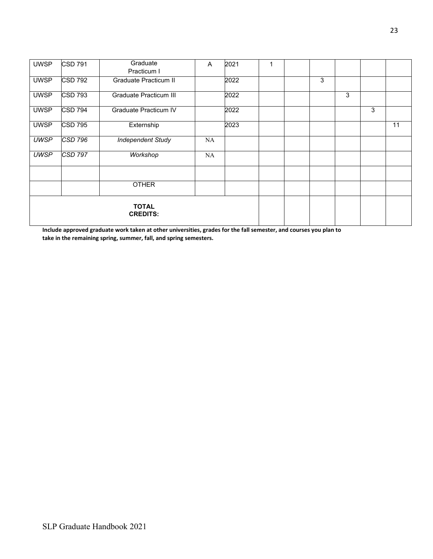| <b>UWSP</b>                     | <b>CSD 791</b> | Graduate<br>Practicum I  | Α  | 2021 |  |   |   |   |    |
|---------------------------------|----------------|--------------------------|----|------|--|---|---|---|----|
| <b>UWSP</b>                     | <b>CSD 792</b> | Graduate Practicum II    |    | 2022 |  | 3 |   |   |    |
| <b>UWSP</b>                     | <b>CSD 793</b> | Graduate Practicum III   |    | 2022 |  |   | 3 |   |    |
| <b>UWSP</b>                     | <b>CSD 794</b> | Graduate Practicum IV    |    | 2022 |  |   |   | 3 |    |
| <b>UWSP</b>                     | <b>CSD 795</b> | Externship               |    | 2023 |  |   |   |   | 11 |
| <b>UWSP</b>                     | $CSD$ 796      | <b>Independent Study</b> | NA |      |  |   |   |   |    |
| <b>UWSP</b>                     | <b>CSD 797</b> | Workshop                 | NA |      |  |   |   |   |    |
|                                 |                |                          |    |      |  |   |   |   |    |
|                                 |                | <b>OTHER</b>             |    |      |  |   |   |   |    |
| <b>TOTAL</b><br><b>CREDITS:</b> |                |                          |    |      |  |   |   |   |    |

**Include approved graduate work taken at other universities, grades for the fall semester, and courses you plan to take in the remaining spring, summer, fall, and spring semesters.**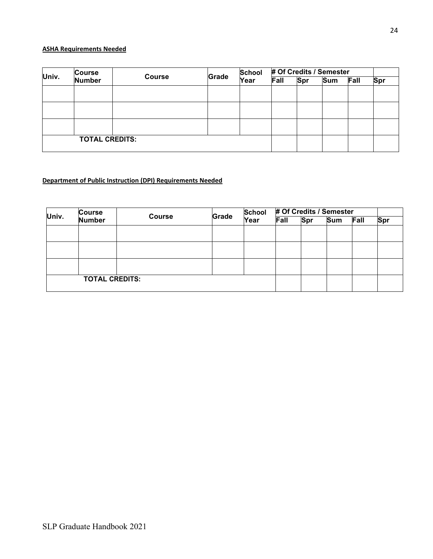#### **ASHA Requirements Needed**

| Univ. | <b>Course</b>         |               | Grade | <b>School</b> | # Of Credits / Semester |            |            |      |     |
|-------|-----------------------|---------------|-------|---------------|-------------------------|------------|------------|------|-----|
|       | <b>Number</b>         | <b>Course</b> |       | Year          | Fall                    | <b>Spr</b> | <b>Sum</b> | Fall | Spr |
|       |                       |               |       |               |                         |            |            |      |     |
|       |                       |               |       |               |                         |            |            |      |     |
|       |                       |               |       |               |                         |            |            |      |     |
|       |                       |               |       |               |                         |            |            |      |     |
|       |                       |               |       |               |                         |            |            |      |     |
|       |                       |               |       |               |                         |            |            |      |     |
|       | <b>TOTAL CREDITS:</b> |               |       |               |                         |            |            |      |     |
|       |                       |               |       |               |                         |            |            |      |     |

## **Department of Public Instruction (DPI) Requirements Needed**

| Univ. | <b>Course</b><br><b>Course</b> | Grade | <b>School</b> | # Of Credits / Semester |      |     |     |      |     |
|-------|--------------------------------|-------|---------------|-------------------------|------|-----|-----|------|-----|
|       | <b>Number</b>                  |       |               | Year                    | Fall | Spr | Sum | Fall | Spr |
|       |                                |       |               |                         |      |     |     |      |     |
|       |                                |       |               |                         |      |     |     |      |     |
|       |                                |       |               |                         |      |     |     |      |     |
|       |                                |       |               |                         |      |     |     |      |     |
|       |                                |       |               |                         |      |     |     |      |     |
|       |                                |       |               |                         |      |     |     |      |     |
|       | <b>TOTAL CREDITS:</b>          |       |               |                         |      |     |     |      |     |
|       |                                |       |               |                         |      |     |     |      |     |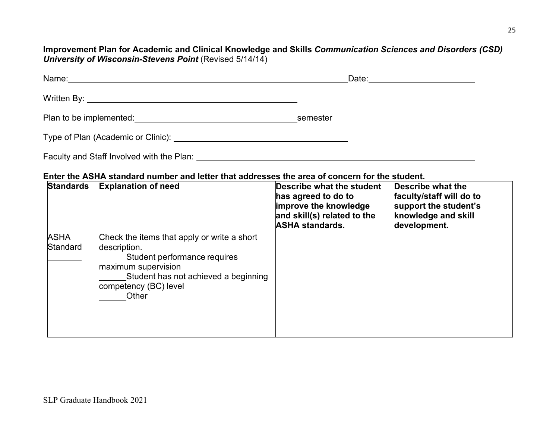**Improvement Plan for Academic and Clinical Knowledge and Skills** *Communication Sciences and Disorders (CSD) University of Wisconsin-Stevens Point* (Revised 5/14/14)

| Name:<br><u>and the control of the control of the control of the control of the control of the control of the control of the control of the control of the control of the control of the control of the control of the control of the con</u> | Date:    |
|-----------------------------------------------------------------------------------------------------------------------------------------------------------------------------------------------------------------------------------------------|----------|
|                                                                                                                                                                                                                                               |          |
| Plan to be implemented: Notified and the set of the set of the set of the set of the set of the set of the set of the set of the set of the set of the set of the set of the set of the set of the set of the set of the set o                | semester |
| Type of Plan (Academic or Clinic): <u>contract the contract of Planets and the contract of the contract of the contract of the contract of the contract of the contract of the contract of the contract of the contract of the c</u>          |          |

Faculty and Staff Involved with the Plan:

## **Enter the ASHA standard number and letter that addresses the area of concern for the student.**

| <b>Standards</b>        | <b>Explanation of need</b>                                                                                                                                                                   | Describe what the student<br>has agreed to do to<br>improve the knowledge<br>and skill(s) related to the<br><b>ASHA standards.</b> | <b>Describe what the</b><br>faculty/staff will do to<br>support the student's<br>knowledge and skill<br>development. |
|-------------------------|----------------------------------------------------------------------------------------------------------------------------------------------------------------------------------------------|------------------------------------------------------------------------------------------------------------------------------------|----------------------------------------------------------------------------------------------------------------------|
| <b>ASHA</b><br>Standard | Check the items that apply or write a short<br>description.<br>Student performance requires<br>maximum supervision<br>Student has not achieved a beginning<br>competency (BC) level<br>Other |                                                                                                                                    |                                                                                                                      |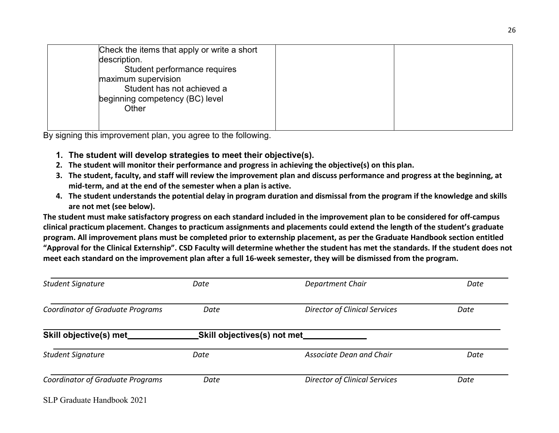| Check the items that apply or write a short<br>description.<br>Student performance requires<br>maximum supervision<br>Student has not achieved a<br>beginning competency (BC) level<br>Other |  |
|----------------------------------------------------------------------------------------------------------------------------------------------------------------------------------------------|--|
|----------------------------------------------------------------------------------------------------------------------------------------------------------------------------------------------|--|

By signing this improvement plan, you agree to the following.

- **1. The student will develop strategies to meet their objective(s).**
- **2. The student will monitor their performance and progress in achieving the objective(s) on this plan.**
- **3. The student, faculty, and staff will review the improvement plan and discuss performance and progress at the beginning, at mid-term, and at the end of the semester when a plan is active.**
- **4. The student understands the potential delay in program duration and dismissal from the program if the knowledge and skills are not met (see below).**

**The student must make satisfactory progress on each standard included in the improvement plan to be considered for off-campus clinical practicum placement. Changes to practicum assignments and placements could extend the length of the student's graduate program. All improvement plans must be completed prior to externship placement, as per the Graduate Handbook section entitled "Approval for the Clinical Externship". CSD Faculty will determine whether the student has met the standards. If the student does not meet each standard on the improvement plan after a full 16-week semester, they will be dismissed from the program.**

| <b>Student Signature</b>                              | Date | Department Chair                     | Date |  |  |
|-------------------------------------------------------|------|--------------------------------------|------|--|--|
| <b>Coordinator of Graduate Programs</b>               | Date | <b>Director of Clinical Services</b> | Date |  |  |
| Skill objective(s) met<br>Skill objectives(s) not met |      |                                      |      |  |  |
| <b>Student Signature</b>                              | Date | <b>Associate Dean and Chair</b>      | Date |  |  |
| <b>Coordinator of Graduate Programs</b>               | Date | <b>Director of Clinical Services</b> | Date |  |  |
| SLP Graduate Handbook 2021                            |      |                                      |      |  |  |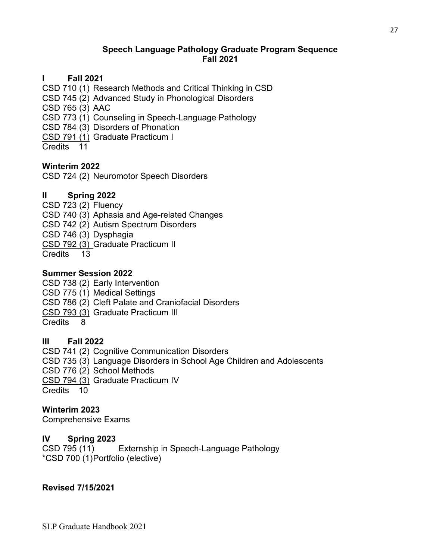## **Speech Language Pathology Graduate Program Sequence Fall 2021**

## **I Fall 2021**

CSD 710 (1) Research Methods and Critical Thinking in CSD

CSD 745 (2) Advanced Study in Phonological Disorders

CSD 765 (3) AAC

CSD 773 (1) Counseling in Speech-Language Pathology

CSD 784 (3) Disorders of Phonation

CSD 791 (1) Graduate Practicum I

Credits 11

## **Winterim 2022**

CSD 724 (2) Neuromotor Speech Disorders

## **II Spring 2022**

CSD 723 (2) Fluency CSD 740 (3) Aphasia and Age-related Changes CSD 742 (2) Autism Spectrum Disorders CSD 746 (3) Dysphagia CSD 792 (3) Graduate Practicum II Credits 13

## **Summer Session 2022**

CSD 738 (2) Early Intervention CSD 775 (1) Medical Settings CSD 786 (2) Cleft Palate and Craniofacial Disorders CSD 793 (3) Graduate Practicum III Credits 8

## **III Fall 2022**

CSD 741 (2) Cognitive Communication Disorders CSD 735 (3) Language Disorders in School Age Children and Adolescents CSD 776 (2) School Methods CSD 794 (3) Graduate Practicum IV Credits 10

## **Winterim 2023**

Comprehensive Exams

# **IV Spring 2023**

CSD 795 (11) Externship in Speech-Language Pathology \*CSD 700 (1)Portfolio (elective)

## **Revised 7/15/2021**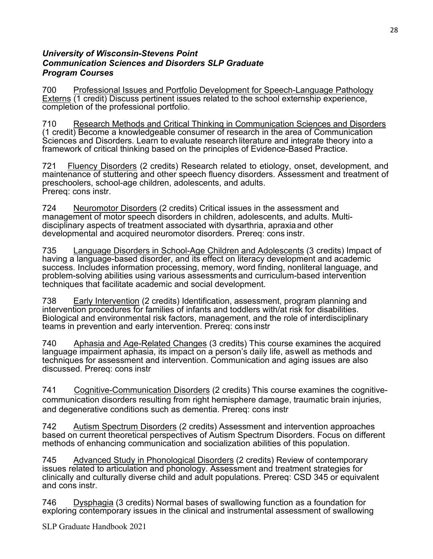## *University of Wisconsin-Stevens Point Communication Sciences and Disorders SLP Graduate Program Courses*

700 Professional Issues and Portfolio Development for Speech-Language Pathology Externs (1 credit) Discuss pertinent issues related to the school externship experience, completion of the professional portfolio.

710 Research Methods and Critical Thinking in Communication Sciences and Disorders (1 credit) Become a knowledgeable consumer of research in the area of Communication Sciences and Disorders. Learn to evaluate research literature and integrate theory into a framework of critical thinking based on the principles of Evidence-Based Practice.

721 Fluency Disorders (2 credits) Research related to etiology, onset, development, and maintenance of stuttering and other speech fluency disorders. Assessment and treatment of preschoolers, school-age children, adolescents, and adults. Prereq: cons instr.

724 Meuromotor Disorders (2 credits) Critical issues in the assessment and management of motor speech disorders in children, adolescents, and adults. Multidisciplinary aspects of treatment associated with dysarthria, apraxia and other developmental and acquired neuromotor disorders. Prereq: cons instr.

735 Language Disorders in School-Age Children and Adolescents (3 credits) Impact of having a language-based disorder, and its effect on literacy development and academic success. Includes information processing, memory, word finding, nonliteral language, and problem-solving abilities using various assessments and curriculum-based intervention techniques that facilitate academic and social development.

738 Early Intervention (2 credits) Identification, assessment, program planning and intervention procedures for families of infants and toddlers with/at risk for disabilities. Biological and environmental risk factors, management, and the role of interdisciplinary teams in prevention and early intervention. Prereq: cons instr

740 Aphasia and Age-Related Changes (3 credits) This course examines the acquired language impairment aphasia, its impact on a person's daily life, aswell as methods and techniques for assessment and intervention. Communication and aging issues are also discussed. Prereq: cons instr

741 Cognitive-Communication Disorders (2 credits) This course examines the cognitivecommunication disorders resulting from right hemisphere damage, traumatic brain injuries, and degenerative conditions such as dementia. Prereq: cons instr

742 Autism Spectrum Disorders (2 credits) Assessment and intervention approaches based on current theoretical perspectives of Autism Spectrum Disorders. Focus on different methods of enhancing communication and socialization abilities of this population.

745 Advanced Study in Phonological Disorders (2 credits) Review of contemporary issues related to articulation and phonology. Assessment and treatment strategies for clinically and culturally diverse child and adult populations. Prereq: CSD 345 or equivalent and cons instr.

746 Dysphagia (3 credits) Normal bases of swallowing function as a foundation for exploring contemporary issues in the clinical and instrumental assessment of swallowing

SLP Graduate Handbook 2021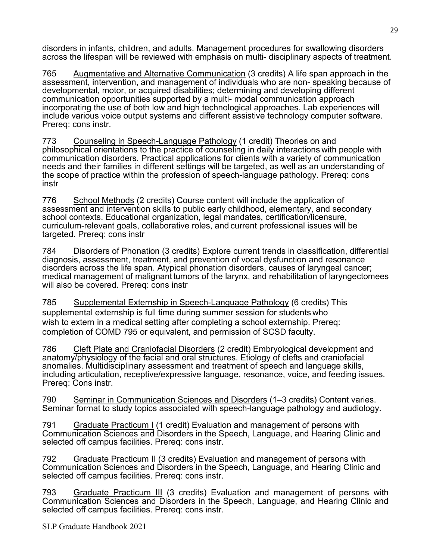disorders in infants, children, and adults. Management procedures for swallowing disorders across the lifespan will be reviewed with emphasis on multi- disciplinary aspects of treatment.

765 Augmentative and Alternative Communication (3 credits) A life span approach in the assessment, intervention, and management of individuals who are non- speaking because of developmental, motor, or acquired disabilities; determining and developing different communication opportunities supported by a multi- modal communication approach incorporating the use of both low and high technological approaches. Lab experiences will include various voice output systems and different assistive technology computer software. Prereq: cons instr.

773 Counseling in Speech-Language Pathology (1 credit) Theories on and philosophical orientations to the practice of counseling in daily interactions with people with communication disorders. Practical applications for clients with a variety of communication needs and their families in different settings will be targeted, as well as an understanding of the scope of practice within the profession of speech-language pathology. Prereq: cons instr

776 School Methods (2 credits) Course content will include the application of assessment and intervention skills to public early childhood, elementary, and secondary school contexts. Educational organization, legal mandates, certification/licensure, curriculum-relevant goals, collaborative roles, and current professional issues will be targeted. Prereq: cons instr

784 Disorders of Phonation (3 credits) Explore current trends in classification, differential diagnosis, assessment, treatment, and prevention of vocal dysfunction and resonance disorders across the life span. Atypical phonation disorders, causes of laryngeal cancer; medical management of malignant tumors of the larynx, and rehabilitation of laryngectomees will also be covered. Prereq: cons instr

785 Supplemental Externship in Speech-Language Pathology (6 credits) This supplemental externship is full time during summer session for students who wish to extern in a medical setting after completing a school externship. Prereq: completion of COMD 795 or equivalent, and permission of SCSD faculty.

786 Cleft Plate and Craniofacial Disorders (2 credit) Embryological development and anatomy/physiology of the facial and oral structures. Etiology of clefts and craniofacial anomalies. Multidisciplinary assessment and treatment of speech and language skills, including articulation, receptive/expressive language, resonance, voice, and feeding issues. Prereq: Cons instr.

790 Seminar in Communication Sciences and Disorders (1–3 credits) Content varies. Seminar format to study topics associated with speech-language pathology and audiology.

791 Graduate Practicum I (1 credit) Evaluation and management of persons with Communication Sciences and Disorders in the Speech, Language, and Hearing Clinic and selected off campus facilities. Prereq: cons instr.

792 Graduate Practicum II (3 credits) Evaluation and management of persons with Communication Sciences and Disorders in the Speech, Language, and Hearing Clinic and selected off campus facilities. Prereq: cons instr.

793 Graduate Practicum III (3 credits) Evaluation and management of persons with Communication Sciences and Disorders in the Speech, Language, and Hearing Clinic and selected off campus facilities. Prereq: cons instr.